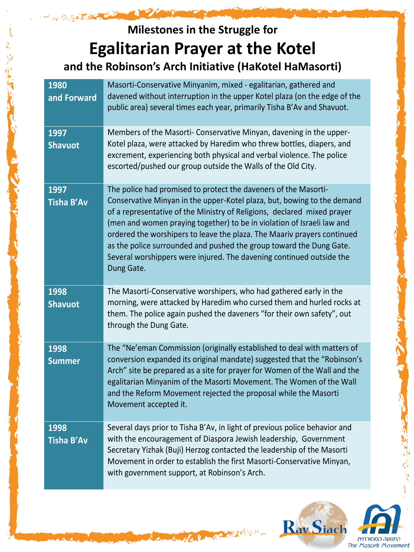## **Milestones in the Struggle for Egalitarian Prayer at the Kotel and the Robinson's Arch Initiative (HaKotel HaMasorti)**

فشركتي فيرش

| 1980<br>and Forward       | Masorti-Conservative Minyanim, mixed - egalitarian, gathered and<br>davened without interruption in the upper Kotel plaza (on the edge of the<br>public area) several times each year, primarily Tisha B'Av and Shavuot.                                                                                                                                                                                                                                                                                                                |
|---------------------------|-----------------------------------------------------------------------------------------------------------------------------------------------------------------------------------------------------------------------------------------------------------------------------------------------------------------------------------------------------------------------------------------------------------------------------------------------------------------------------------------------------------------------------------------|
| 1997<br><b>Shavuot</b>    | Members of the Masorti- Conservative Minyan, davening in the upper-<br>Kotel plaza, were attacked by Haredim who threw bottles, diapers, and<br>excrement, experiencing both physical and verbal violence. The police<br>escorted/pushed our group outside the Walls of the Old City.                                                                                                                                                                                                                                                   |
| 1997<br><b>Tisha B'Av</b> | The police had promised to protect the daveners of the Masorti-<br>Conservative Minyan in the upper-Kotel plaza, but, bowing to the demand<br>of a representative of the Ministry of Religions, declared mixed prayer<br>(men and women praying together) to be in violation of Israeli law and<br>ordered the worshipers to leave the plaza. The Maariv prayers continued<br>as the police surrounded and pushed the group toward the Dung Gate.<br>Several worshippers were injured. The davening continued outside the<br>Dung Gate. |
| 1998<br><b>Shavuot</b>    | The Masorti-Conservative worshipers, who had gathered early in the<br>morning, were attacked by Haredim who cursed them and hurled rocks at<br>them. The police again pushed the daveners "for their own safety", out<br>through the Dung Gate.                                                                                                                                                                                                                                                                                         |
| 1998<br><b>Summer</b>     | The "Ne'eman Commission (originally established to deal with matters of<br>conversion expanded its original mandate) suggested that the "Robinson's<br>Arch" site be prepared as a site for prayer for Women of the Wall and the<br>egalitarian Minyanim of the Masorti Movement. The Women of the Wall<br>and the Reform Movement rejected the proposal while the Masorti<br>Movement accepted it.                                                                                                                                     |
| 1998<br>Tisha B'Av        | Several days prior to Tisha B'Av, in light of previous police behavior and<br>with the encouragement of Diaspora Jewish leadership, Government<br>Secretary Yizhak (Buji) Herzog contacted the leadership of the Masorti<br>Movement in order to establish the first Masorti-Conservative Minyan,<br>with government support, at Robinson's Arch.                                                                                                                                                                                       |

No. 1 go senting

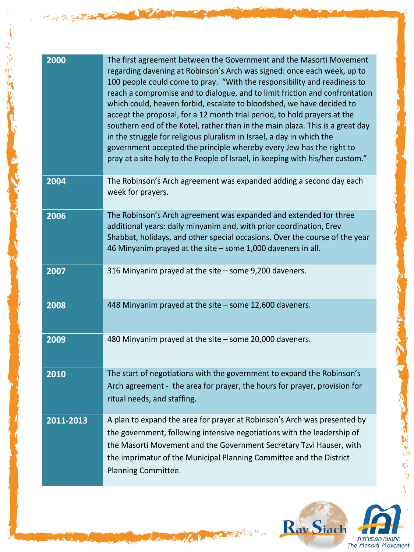| 2000      | The first agreement between the Government and the Masorti Movement<br>regarding davening at Robinson's Arch was signed: once each week, up to<br>100 people could come to pray. "With the responsibility and readiness to<br>reach a compromise and to dialogue, and to limit friction and confrontation<br>which could, heaven forbid, escalate to bloodshed, we have decided to<br>accept the proposal, for a 12 month trial period, to hold prayers at the<br>southern end of the Kotel, rather than in the main plaza. This is a great day<br>in the struggle for religious pluralism in Israel, a day in which the<br>government accepted the principle whereby every Jew has the right to<br>pray at a site holy to the People of Israel, in keeping with his/her custom." |
|-----------|-----------------------------------------------------------------------------------------------------------------------------------------------------------------------------------------------------------------------------------------------------------------------------------------------------------------------------------------------------------------------------------------------------------------------------------------------------------------------------------------------------------------------------------------------------------------------------------------------------------------------------------------------------------------------------------------------------------------------------------------------------------------------------------|
| 2004      | The Robinson's Arch agreement was expanded adding a second day each<br>week for prayers.                                                                                                                                                                                                                                                                                                                                                                                                                                                                                                                                                                                                                                                                                          |
| 2006      | The Robinson's Arch agreement was expanded and extended for three<br>additional years: daily minyanim and, with prior coordination, Erev<br>Shabbat, holidays, and other special occasions. Over the course of the year<br>46 Minyanim prayed at the site - some 1,000 daveners in all.                                                                                                                                                                                                                                                                                                                                                                                                                                                                                           |
| 2007      | 316 Minyanim prayed at the site - some 9,200 daveners.                                                                                                                                                                                                                                                                                                                                                                                                                                                                                                                                                                                                                                                                                                                            |
| 2008      | 448 Minyanim prayed at the site - some 12,600 daveners.                                                                                                                                                                                                                                                                                                                                                                                                                                                                                                                                                                                                                                                                                                                           |
| 2009      | 480 Minyanim prayed at the site - some 20,000 daveners.                                                                                                                                                                                                                                                                                                                                                                                                                                                                                                                                                                                                                                                                                                                           |
| 2010      | The start of negotiations with the government to expand the Robinson's<br>Arch agreement - the area for prayer, the hours for prayer, provision for<br>ritual needs, and staffing.                                                                                                                                                                                                                                                                                                                                                                                                                                                                                                                                                                                                |
| 2011-2013 | A plan to expand the area for prayer at Robinson's Arch was presented by<br>the government, following intensive negotiations with the leadership of<br>the Masorti Movement and the Government Secretary Tzvi Hauser, with<br>the imprimatur of the Municipal Planning Committee and the District<br>Planning Committee.                                                                                                                                                                                                                                                                                                                                                                                                                                                          |

Carpenter

医原发光



みんぷ